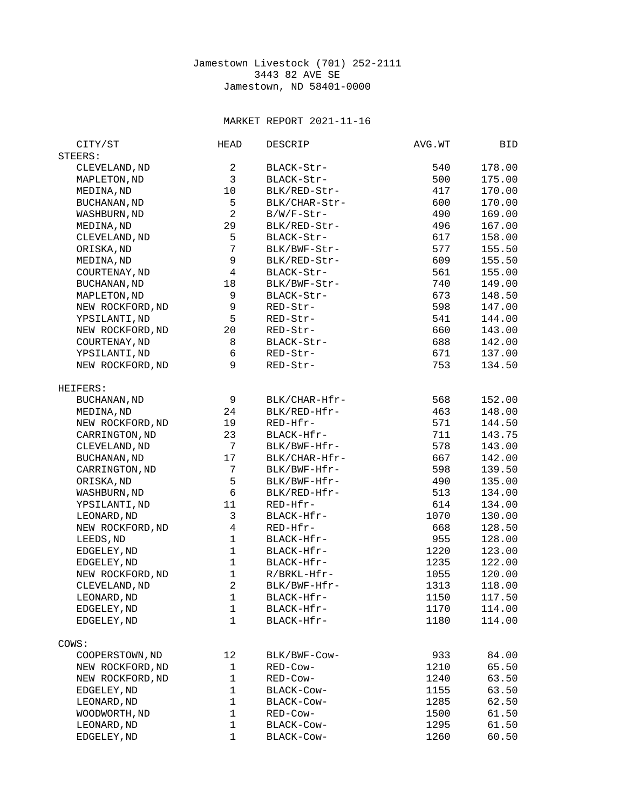## Jamestown Livestock (701) 252-2111 3443 82 AVE SE Jamestown, ND 58401-0000

## MARKET REPORT 2021-11-16

| CITY/ST             | <b>HEAD</b>    | <b>DESCRIP</b> | AVG.WT | BID    |
|---------------------|----------------|----------------|--------|--------|
| STEERS:             |                |                |        |        |
| CLEVELAND, ND       | $\overline{c}$ | BLACK-Str-     | 540    | 178.00 |
| MAPLETON, ND        | 3              | BLACK-Str-     | 500    | 175.00 |
| MEDINA, ND          | 10             | BLK/RED-Str-   | 417    | 170.00 |
| BUCHANAN, ND        | 5              | BLK/CHAR-Str-  | 600    | 170.00 |
| WASHBURN, ND        | $\overline{c}$ | $B/W/F-Str-$   | 490    | 169.00 |
| MEDINA, ND          | 29             | BLK/RED-Str-   | 496    | 167.00 |
| CLEVELAND, ND       | 5              | BLACK-Str-     | 617    | 158.00 |
| ORISKA, ND          | $\overline{7}$ | BLK/BWF-Str-   | 577    | 155.50 |
| MEDINA, ND          | 9              | BLK/RED-Str-   | 609    | 155.50 |
| COURTENAY, ND       | 4              | BLACK-Str-     | 561    | 155.00 |
| <b>BUCHANAN, ND</b> | 18             | BLK/BWF-Str-   | 740    | 149.00 |
| MAPLETON, ND        | 9              | BLACK-Str-     | 673    | 148.50 |
| NEW ROCKFORD, ND    | 9              | RED-Str-       | 598    | 147.00 |
| YPSILANTI, ND       | 5              | RED-Str-       | 541    | 144.00 |
| NEW ROCKFORD, ND    | 20             | RED-Str-       | 660    | 143.00 |
| COURTENAY, ND       | 8              | BLACK-Str-     | 688    | 142.00 |
| YPSILANTI, ND       | 6              | RED-Str-       | 671    | 137.00 |
| NEW ROCKFORD, ND    | 9              | RED-Str-       | 753    | 134.50 |
|                     |                |                |        |        |
| HEIFERS:            |                |                |        |        |
| <b>BUCHANAN, ND</b> | 9              | BLK/CHAR-Hfr-  | 568    | 152.00 |
| MEDINA, ND          | 24             | BLK/RED-Hfr-   | 463    | 148.00 |
| NEW ROCKFORD, ND    | 19             | RED-Hfr-       | 571    | 144.50 |
| CARRINGTON, ND      | 23             | BLACK-Hfr-     | 711    | 143.75 |
| CLEVELAND, ND       | 7              | BLK/BWF-Hfr-   | 578    | 143.00 |
| <b>BUCHANAN, ND</b> | 17             | BLK/CHAR-Hfr-  | 667    | 142.00 |
| CARRINGTON, ND      | $\overline{7}$ | BLK/BWF-Hfr-   | 598    | 139.50 |
| ORISKA, ND          | 5              | BLK/BWF-Hfr-   | 490    | 135.00 |
| WASHBURN, ND        | 6              | BLK/RED-Hfr-   | 513    | 134.00 |
| YPSILANTI, ND       | 11             | RED-Hfr-       | 614    | 134.00 |
| LEONARD, ND         | 3              | BLACK-Hfr-     | 1070   | 130.00 |
| NEW ROCKFORD, ND    | 4              | RED-Hfr-       | 668    | 128.50 |
| LEEDS, ND           | $\mathbf 1$    | BLACK-Hfr-     | 955    | 128.00 |
| EDGELEY, ND         | $\mathbf{1}$   | BLACK-Hfr-     | 1220   | 123.00 |
| EDGELEY, ND         | $\mathbf 1$    | BLACK-Hfr-     | 1235   | 122.00 |
| NEW ROCKFORD, ND    | $\mathbf{1}$   | R/BRKL-Hfr-    | 1055   | 120.00 |
| CLEVELAND, ND       | $\overline{c}$ | BLK/BWF-Hfr-   | 1313   | 118.00 |
| LEONARD, ND         | $\mathbf 1$    | BLACK-Hfr-     | 1150   | 117.50 |
| EDGELEY, ND         | 1              | BLACK-Hfr-     | 1170   | 114.00 |
| EDGELEY, ND         | 1              | BLACK-Hfr-     | 1180   | 114.00 |
|                     |                |                |        |        |
| COWS:               |                |                |        |        |
| COOPERSTOWN, ND     | 12             | BLK/BWF-COW-   | 933    | 84.00  |
| NEW ROCKFORD, ND    | 1              | RED-Cow-       | 1210   | 65.50  |
| NEW ROCKFORD, ND    | $\mathbf{1}$   | RED-Cow-       | 1240   | 63.50  |
| EDGELEY, ND         | 1              | BLACK-Cow-     | 1155   | 63.50  |
| LEONARD, ND         | 1              | BLACK-Cow-     | 1285   | 62.50  |
| WOODWORTH, ND       | 1              | RED-Cow-       | 1500   | 61.50  |
| LEONARD, ND         | 1              | BLACK-Cow-     | 1295   | 61.50  |
| EDGELEY, ND         | 1              | BLACK-Cow-     | 1260   | 60.50  |